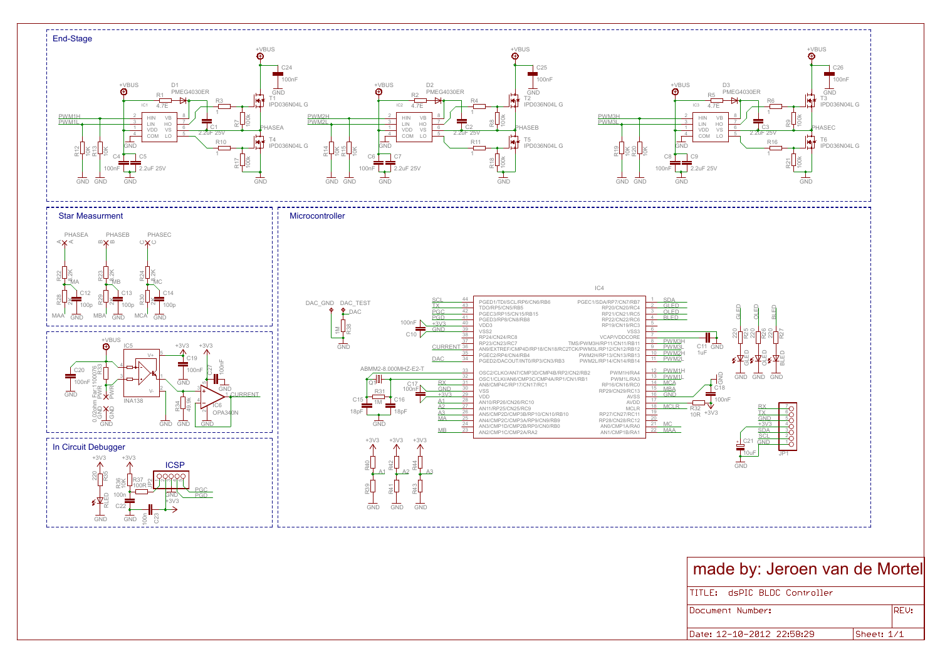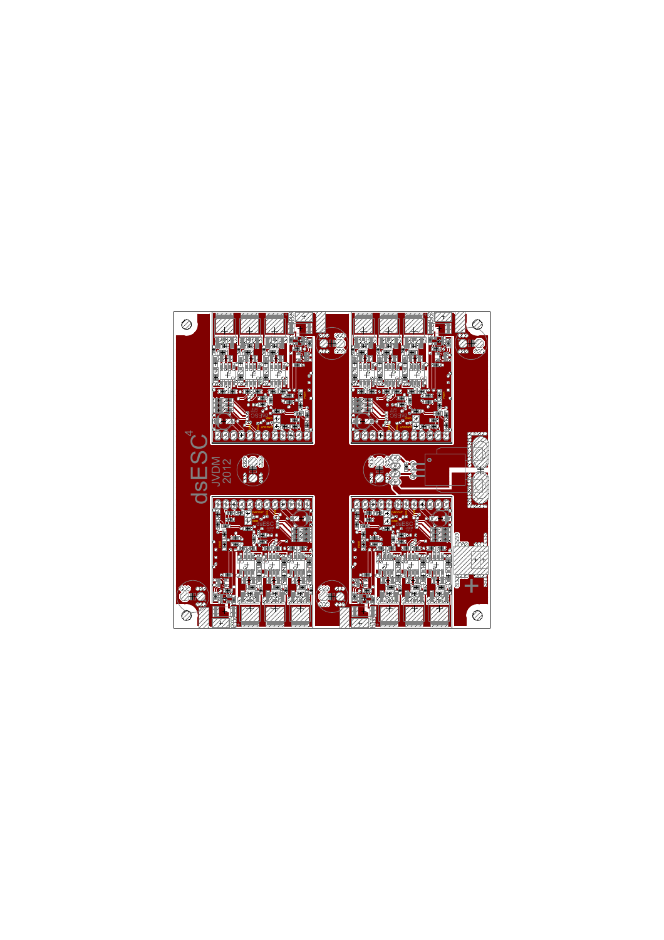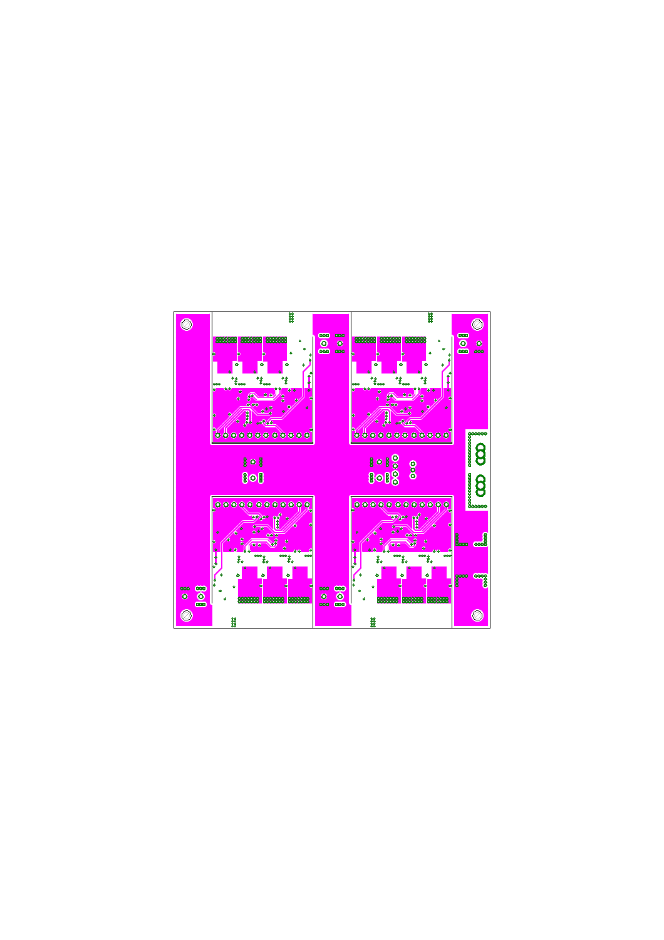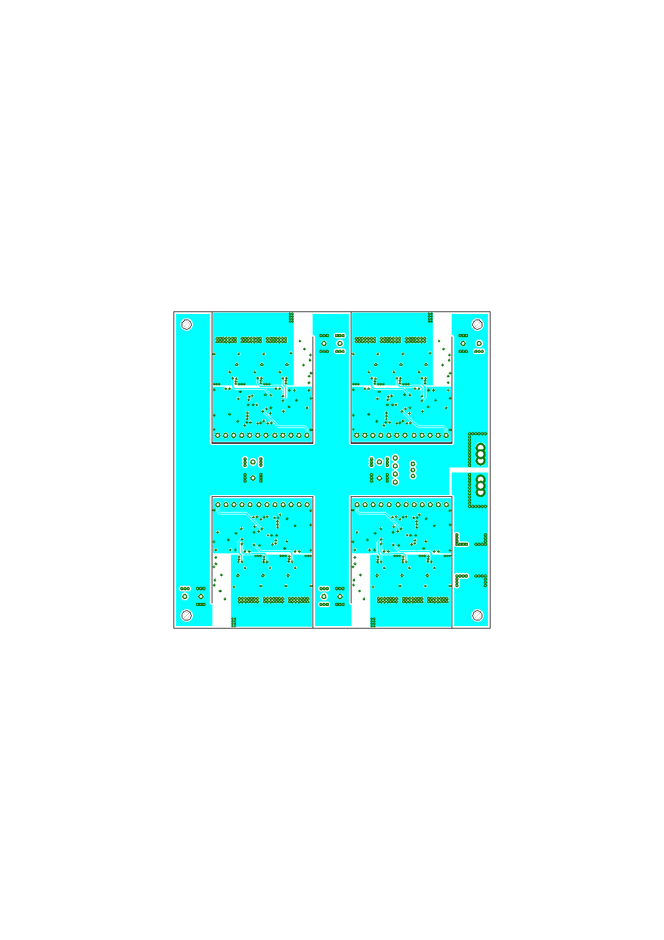